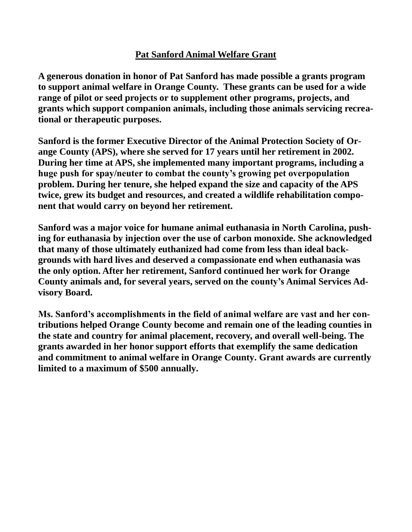## **Pat Sanford Animal Welfare Grant**

**A generous donation in honor of Pat Sanford has made possible a grants program to support animal welfare in Orange County. These grants can be used for a wide range of pilot or seed projects or to supplement other programs, projects, and grants which support companion animals, including those animals servicing recreational or therapeutic purposes.** 

**Sanford is the former Executive Director of the Animal Protection Society of Orange County (APS), where she served for 17 years until her retirement in 2002. During her time at APS, she implemented many important programs, including a huge push for spay/neuter to combat the county's growing pet overpopulation problem. During her tenure, she helped expand the size and capacity of the APS twice, grew its budget and resources, and created a wildlife rehabilitation component that would carry on beyond her retirement.** 

**Sanford was a major voice for humane animal euthanasia in North Carolina, pushing for euthanasia by injection over the use of carbon monoxide. She acknowledged that many of those ultimately euthanized had come from less than ideal backgrounds with hard lives and deserved a compassionate end when euthanasia was the only option. After her retirement, Sanford continued her work for Orange County animals and, for several years, served on the county's Animal Services Advisory Board.** 

**Ms. Sanford's accomplishments in the field of animal welfare are vast and her contributions helped Orange County become and remain one of the leading counties in the state and country for animal placement, recovery, and overall well-being. The grants awarded in her honor support efforts that exemplify the same dedication and commitment to animal welfare in Orange County. Grant awards are currently limited to a maximum of \$500 annually.**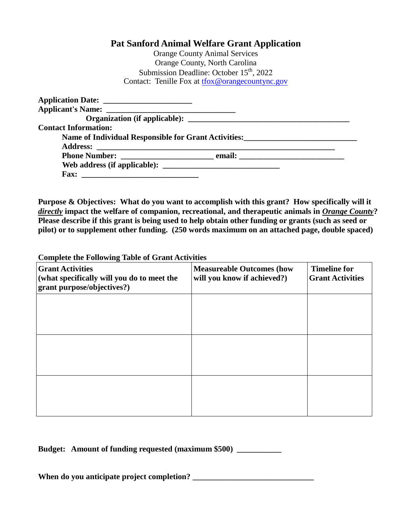## **Pat Sanford Animal Welfare Grant Application**

Orange County Animal Services Orange County, North Carolina Submission Deadline: October  $15<sup>th</sup>$ , 2022 Contact: Tenille Fox at [tfox@orangecountync.gov](mailto:tfox@orangecountync.gov)

| <b>Contact Information:</b>                          |  |
|------------------------------------------------------|--|
| Name of Individual Responsible for Grant Activities: |  |
|                                                      |  |
|                                                      |  |
|                                                      |  |
|                                                      |  |

**Purpose & Objectives: What do you want to accomplish with this grant? How specifically will it**  *directly* **impact the welfare of companion, recreational, and therapeutic animals in** *Orange County***? Please describe if this grant is being used to help obtain other funding or grants (such as seed or pilot) or to supplement other funding. (250 words maximum on an attached page, double spaced)**

**Complete the Following Table of Grant Activities**

| <b>Grant Activities</b><br>(what specifically will you do to meet the<br>grant purpose/objectives?) | <b>Measureable Outcomes (how</b><br>will you know if achieved?) | <b>Timeline for</b><br><b>Grant Activities</b> |
|-----------------------------------------------------------------------------------------------------|-----------------------------------------------------------------|------------------------------------------------|
|                                                                                                     |                                                                 |                                                |
|                                                                                                     |                                                                 |                                                |
|                                                                                                     |                                                                 |                                                |
|                                                                                                     |                                                                 |                                                |

**Budget: Amount of funding requested (maximum \$500) \_\_\_\_\_\_\_\_\_\_\_**

When do you anticipate project completion?